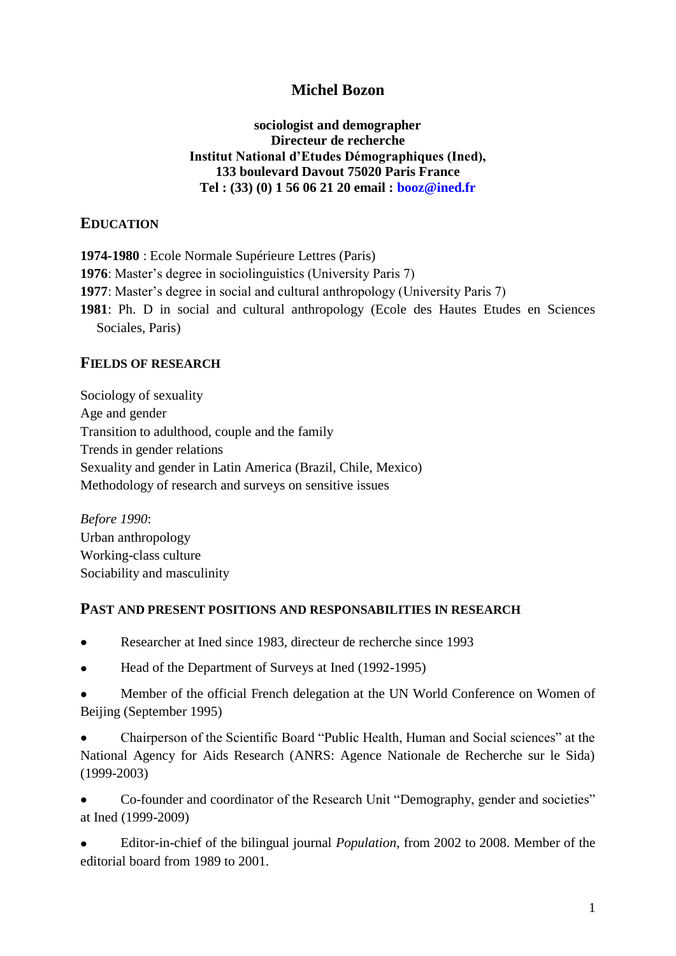## **Michel Bozon**

**sociologist and demographer Directeur de recherche Institut National d'Etudes Démographiques (Ined), 133 boulevard Davout 75020 Paris France Tel : (33) (0) 1 56 06 21 20 email : booz@ined.fr**

### **EDUCATION**

**1974-1980** : Ecole Normale Supérieure Lettres (Paris) **1976**: Master's degree in sociolinguistics (University Paris 7) **1977**: Master's degree in social and cultural anthropology (University Paris 7) **1981**: Ph. D in social and cultural anthropology (Ecole des Hautes Etudes en Sciences Sociales, Paris)

#### **FIELDS OF RESEARCH**

Sociology of sexuality Age and gender Transition to adulthood, couple and the family Trends in gender relations Sexuality and gender in Latin America (Brazil, Chile, Mexico) Methodology of research and surveys on sensitive issues

*Before 1990*: Urban anthropology Working-class culture Sociability and masculinity

#### **PAST AND PRESENT POSITIONS AND RESPONSABILITIES IN RESEARCH**

- Researcher at Ined since 1983, directeur de recherche since 1993  $\bullet$
- Head of the Department of Surveys at Ined (1992-1995)
- Member of the official French delegation at the UN World Conference on Women of Beijing (September 1995)

Chairperson of the Scientific Board "Public Health, Human and Social sciences" at the National Agency for Aids Research (ANRS: Agence Nationale de Recherche sur le Sida) (1999-2003)

Co-founder and coordinator of the Research Unit "Demography, gender and societies" at Ined (1999-2009)

 $\bullet$ Editor-in-chief of the bilingual journal *Population*, from 2002 to 2008. Member of the editorial board from 1989 to 2001.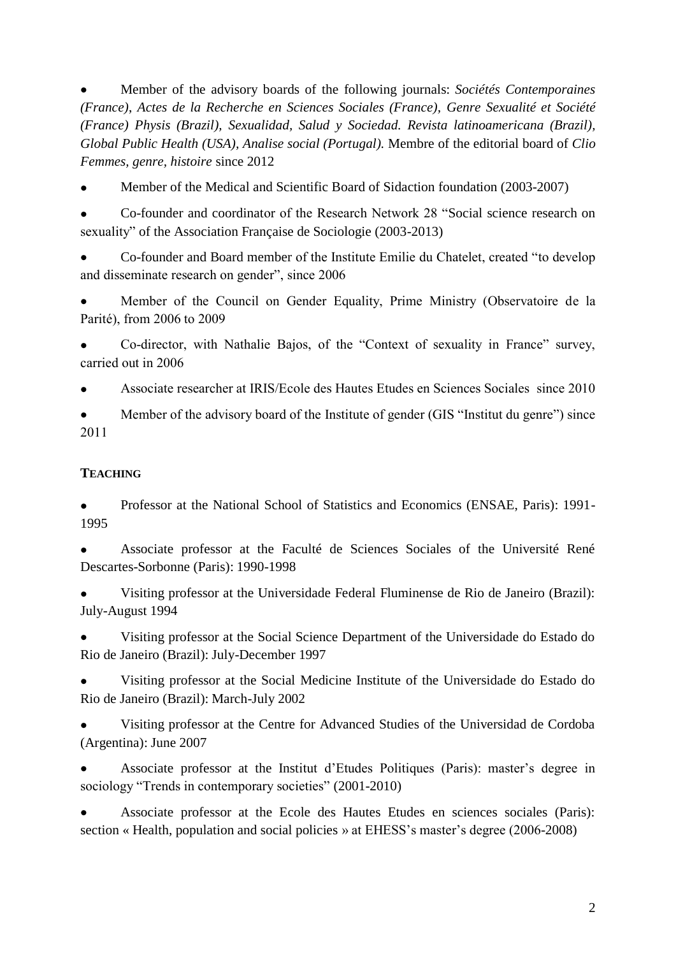Member of the advisory boards of the following journals: *Sociétés Contemporaines (France)*, *Actes de la Recherche en Sciences Sociales (France), Genre Sexualité et Société (France) Physis (Brazil), Sexualidad, Salud y Sociedad. Revista latinoamericana (Brazil), Global Public Health (USA), Analise social (Portugal).* Membre of the editorial board of *Clio Femmes, genre, histoire* since 2012

Member of the Medical and Scientific Board of Sidaction foundation (2003-2007)

Co-founder and coordinator of the Research Network 28 "Social science research on sexuality" of the Association Française de Sociologie (2003-2013)

Co-founder and Board member of the Institute Emilie du Chatelet, created "to develop and disseminate research on gender", since 2006

Member of the Council on Gender Equality, Prime Ministry (Observatoire de la Parité), from 2006 to 2009

Co-director, with Nathalie Bajos, of the "Context of sexuality in France" survey, carried out in 2006

Associate researcher at IRIS/Ecole des Hautes Etudes en Sciences Sociales since 2010

Member of the advisory board of the Institute of gender (GIS "Institut du genre") since 2011

## **TEACHING**

Professor at the National School of Statistics and Economics (ENSAE, Paris): 1991- 1995

Associate professor at the Faculté de Sciences Sociales of the Université René Descartes-Sorbonne (Paris): 1990-1998

Visiting professor at the Universidade Federal Fluminense de Rio de Janeiro (Brazil): July-August 1994

Visiting professor at the Social Science Department of the Universidade do Estado do Rio de Janeiro (Brazil): July-December 1997

Visiting professor at the Social Medicine Institute of the Universidade do Estado do Rio de Janeiro (Brazil): March-July 2002

Visiting professor at the Centre for Advanced Studies of the Universidad de Cordoba (Argentina): June 2007

Associate professor at the Institut d'Etudes Politiques (Paris): master's degree in sociology "Trends in contemporary societies" (2001-2010)

Associate professor at the Ecole des Hautes Etudes en sciences sociales (Paris): section « Health, population and social policies » at EHESS's master's degree (2006-2008)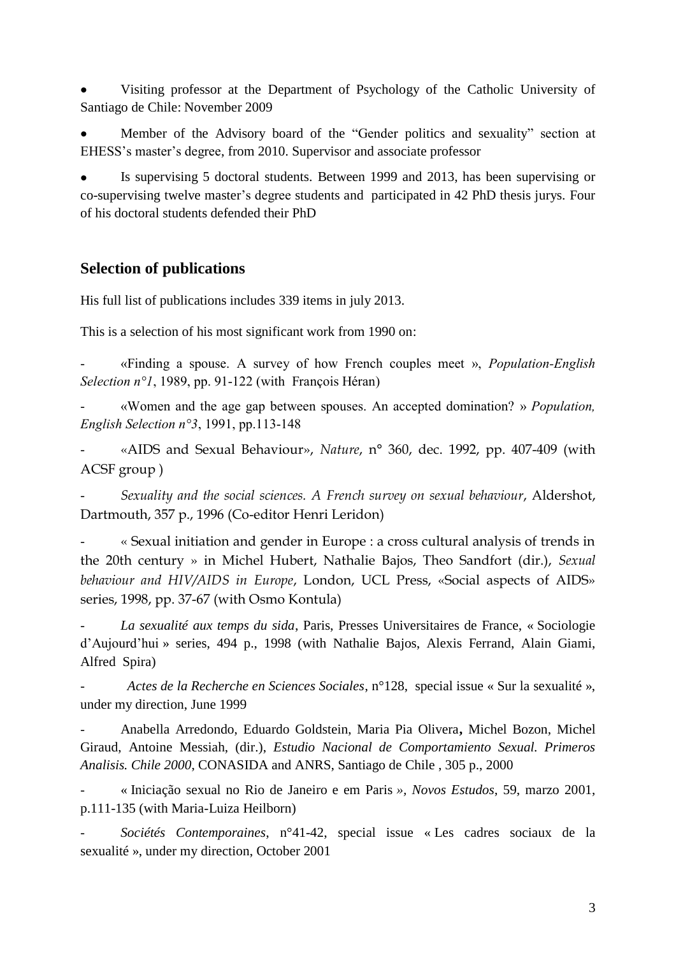Visiting professor at the Department of Psychology of the Catholic University of Santiago de Chile: November 2009

Member of the Advisory board of the "Gender politics and sexuality" section at EHESS's master's degree, from 2010. Supervisor and associate professor

Is supervising 5 doctoral students. Between 1999 and 2013, has been supervising or co-supervising twelve master's degree students and participated in 42 PhD thesis jurys. Four of his doctoral students defended their PhD

# **Selection of publications**

His full list of publications includes 339 items in july 2013.

This is a selection of his most significant work from 1990 on:

- «Finding a spouse. A survey of how French couples meet », *Population-English Selection n°1*, 1989, pp. 91-122 (with François Héran)

- «Women and the age gap between spouses. An accepted domination? » *Population, English Selection n°3*, 1991, pp.113-148

- «AIDS and Sexual Behaviour», *Nature*, n° 360, dec. 1992, pp. 407-409 (with ACSF group )

- *Sexuality and the social sciences. A French survey on sexual behaviour*, Aldershot, Dartmouth, 357 p., 1996 (Co-editor Henri Leridon)

- « Sexual initiation and gender in Europe : a cross cultural analysis of trends in the 20th century » in Michel Hubert, Nathalie Bajos, Theo Sandfort (dir.), *Sexual behaviour and HIV/AIDS in Europe*, London, UCL Press, «Social aspects of AIDS» series, 1998, pp. 37-67 (with Osmo Kontula)

- *La sexualité aux temps du sida*, Paris, Presses Universitaires de France, « Sociologie d'Aujourd'hui » series, 494 p., 1998 (with Nathalie Bajos, Alexis Ferrand, Alain Giami, Alfred Spira)

- *Actes de la Recherche en Sciences Sociales*, n°128, special issue « Sur la sexualité », under my direction, June 1999

- Anabella Arredondo, Eduardo Goldstein, Maria Pia Olivera**,** Michel Bozon, Michel Giraud, Antoine Messiah, (dir.), *Estudio Nacional de Comportamiento Sexual. Primeros Analisis. Chile 2000*, CONASIDA and ANRS, Santiago de Chile , 305 p., 2000

- « Iniciação sexual no Rio de Janeiro e em Paris *», Novos Estudos*, 59, marzo 2001, p.111-135 (with Maria-Luiza Heilborn)

- *Sociétés Contemporaines*, n°41-42, special issue « Les cadres sociaux de la sexualité », under my direction, October 2001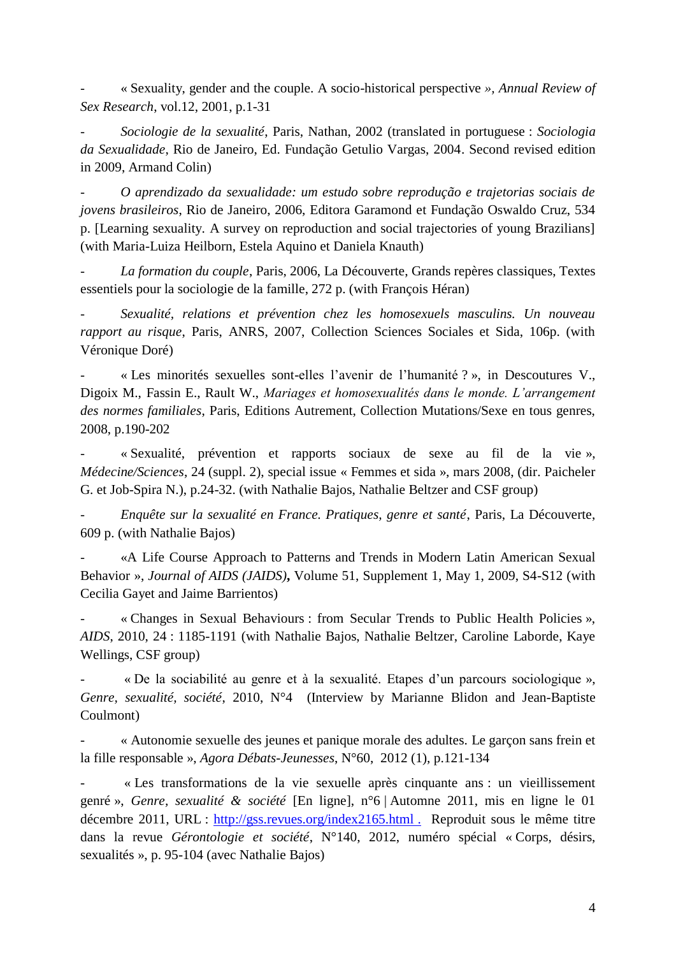- « Sexuality, gender and the couple. A socio-historical perspective *», Annual Review of Sex Research*, vol.12, 2001, p.1-31

- *Sociologie de la sexualité*, Paris, Nathan, 2002 (translated in portuguese : *Sociologia da Sexualidade*, Rio de Janeiro, Ed. Fundação Getulio Vargas, 2004. Second revised edition in 2009, Armand Colin)

- *O aprendizado da sexualidade: um estudo sobre reprodução e trajetorias sociais de jovens brasileiros*, Rio de Janeiro, 2006, Editora Garamond et Fundação Oswaldo Cruz, 534 p. [Learning sexuality. A survey on reproduction and social trajectories of young Brazilians] (with Maria-Luiza Heilborn, Estela Aquino et Daniela Knauth)

- *La formation du couple*, Paris, 2006, La Découverte, Grands repères classiques, Textes essentiels pour la sociologie de la famille, 272 p. (with François Héran)

- *Sexualité, relations et prévention chez les homosexuels masculins. Un nouveau rapport au risque*, Paris, ANRS, 2007, Collection Sciences Sociales et Sida, 106p. (with Véronique Doré)

- « Les minorités sexuelles sont-elles l'avenir de l'humanité ? », in Descoutures V., Digoix M., Fassin E., Rault W., *Mariages et homosexualités dans le monde. L'arrangement des normes familiales*, Paris, Editions Autrement, Collection Mutations/Sexe en tous genres, 2008, p.190-202

- « Sexualité, prévention et rapports sociaux de sexe au fil de la vie », *Médecine/Sciences*, 24 (suppl. 2), special issue « Femmes et sida », mars 2008, (dir. Paicheler G. et Job-Spira N.), p.24-32. (with Nathalie Bajos, Nathalie Beltzer and CSF group)

- *Enquête sur la sexualité en France. Pratiques, genre et santé*, Paris, La Découverte, 609 p. (with Nathalie Bajos)

- «A Life Course Approach to Patterns and Trends in Modern Latin American Sexual Behavior », *Journal of AIDS (JAIDS)***,** Volume 51, Supplement 1, May 1, 2009, S4-S12 (with Cecilia Gayet and Jaime Barrientos)

- « Changes in Sexual Behaviours : from Secular Trends to Public Health Policies », *AIDS*, 2010, 24 : 1185-1191 (with Nathalie Bajos, Nathalie Beltzer, Caroline Laborde, Kaye Wellings, CSF group)

« De la sociabilité au genre et à la sexualité. Etapes d'un parcours sociologique », *Genre, sexualité, société*, 2010, N°4 (Interview by Marianne Blidon and Jean-Baptiste Coulmont)

« Autonomie sexuelle des jeunes et panique morale des adultes. Le garçon sans frein et la fille responsable », *Agora Débats-Jeunesses*, N°60, 2012 (1), p.121-134

- « Les transformations de la vie sexuelle après cinquante ans : un vieillissement genré », *Genre, sexualité & société* [En ligne], n°6 | Automne 2011, mis en ligne le 01 décembre 2011, URL : [http://gss.revues.org/index2165.html](http://gss.revues.org/index2165.html .Reproduit) . Reproduit sous le même titre dans la revue *Gérontologie et société*, N°140, 2012, numéro spécial « Corps, désirs, sexualités », p. 95-104 (avec Nathalie Bajos)